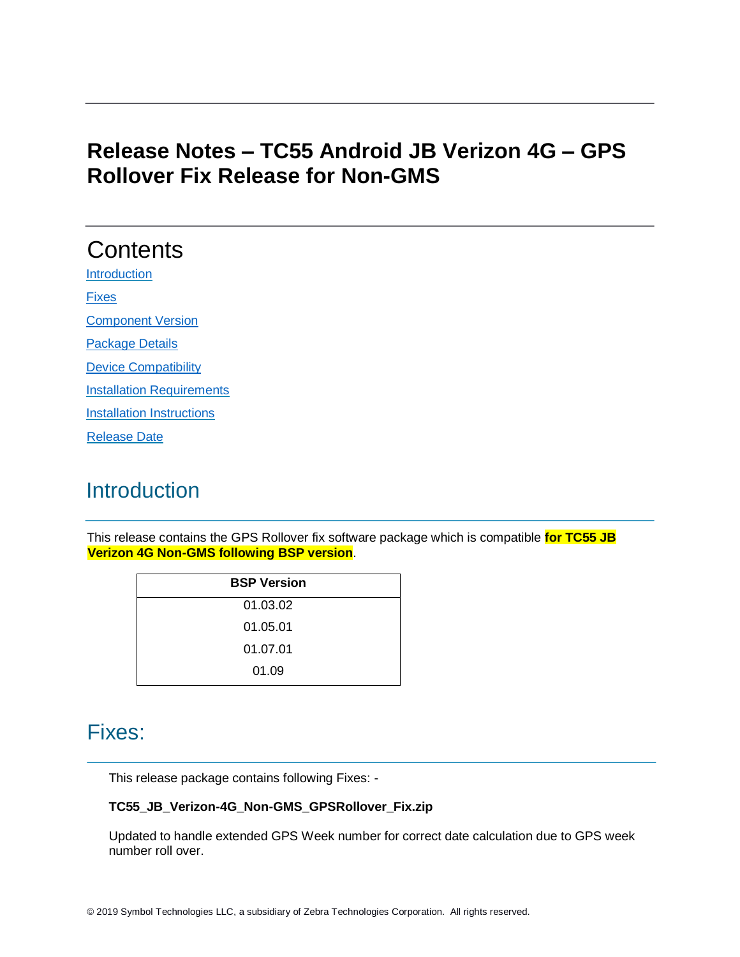# **Release Notes – TC55 Android JB Verizon 4G – GPS Rollover Fix Release for Non-GMS**

# **Contents [Introduction](#page-0-0)** [Fixes](#page-0-1) [Component Version](#page-1-0)  [Package Details](#page-1-1)  [Device Compatibility](#page-1-2)  [Installation Requirements](#page-1-3) **[Installation Instructions](#page-2-0)** [Release Date](#page-2-1)

# <span id="page-0-0"></span>**Introduction**

This release contains the GPS Rollover fix software package which is compatible **for TC55 JB Verizon 4G Non-GMS following BSP version**.

| <b>BSP Version</b> |
|--------------------|
| 01.03.02           |
| 01.05.01           |
| 01.07.01           |
| 01.09              |

#### <span id="page-0-1"></span>Fixes:

This release package contains following Fixes: -

#### **TC55\_JB\_Verizon-4G\_Non-GMS\_GPSRollover\_Fix.zip**

Updated to handle extended GPS Week number for correct date calculation due to GPS week number roll over.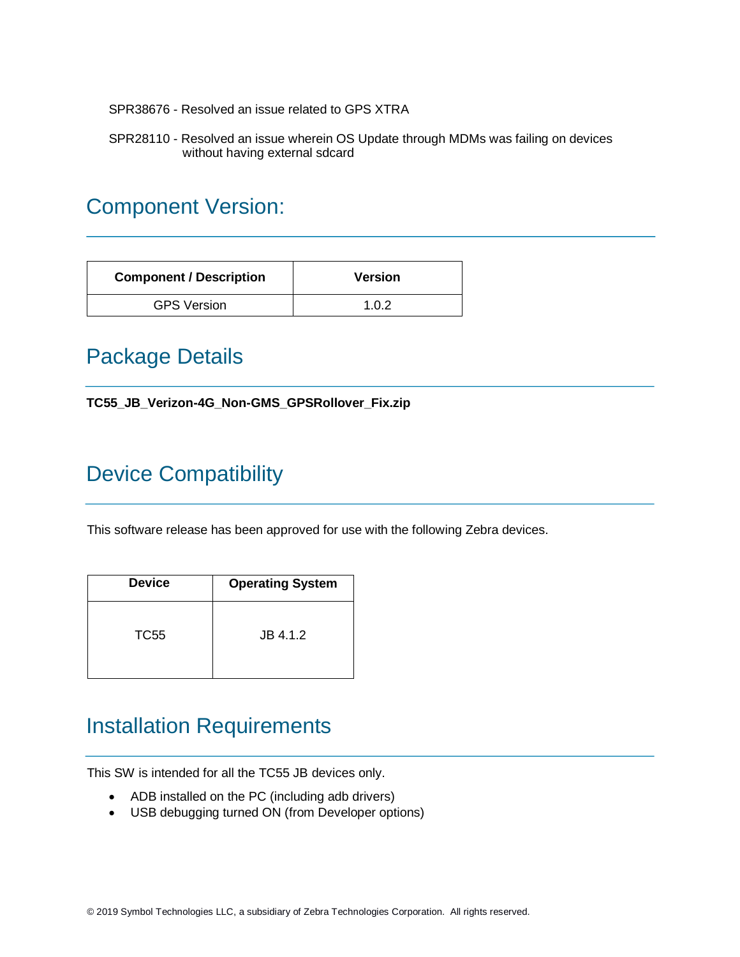SPR38676 - Resolved an issue related to GPS XTRA

SPR28110 - Resolved an issue wherein OS Update through MDMs was failing on devices without having external sdcard

# <span id="page-1-0"></span>Component Version:

| <b>Component / Description</b> | <b>Version</b> |
|--------------------------------|----------------|
| <b>GPS Version</b>             | 1.0.2          |

### <span id="page-1-1"></span>Package Details

**TC55\_JB\_Verizon-4G\_Non-GMS\_GPSRollover\_Fix.zip**

# <span id="page-1-2"></span>Device Compatibility

This software release has been approved for use with the following Zebra devices.

| <b>Device</b> | <b>Operating System</b> |
|---------------|-------------------------|
| TC55          | JB 4.1.2                |

#### <span id="page-1-3"></span>Installation Requirements

This SW is intended for all the TC55 JB devices only.

- ADB installed on the PC (including adb drivers)
- USB debugging turned ON (from Developer options)